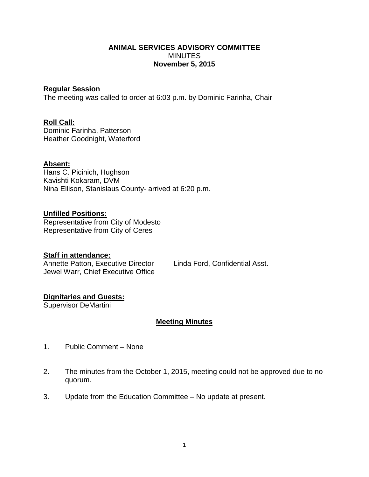## **ANIMAL SERVICES ADVISORY COMMITTEE** MINUTES **November 5, 2015**

## **Regular Session**

The meeting was called to order at 6:03 p.m. by Dominic Farinha, Chair

# **Roll Call:**

Dominic Farinha, Patterson Heather Goodnight, Waterford

# **Absent:**

Hans C. Picinich, Hughson Kavishti Kokaram, DVM Nina Ellison, Stanislaus County- arrived at 6:20 p.m.

## **Unfilled Positions:**

Representative from City of Modesto Representative from City of Ceres

### **Staff in attendance:**

Annette Patton, Executive Director Linda Ford, Confidential Asst. Jewel Warr, Chief Executive Office

# **Dignitaries and Guests:**

Supervisor DeMartini

# **Meeting Minutes**

- 1. Public Comment None
- 2. The minutes from the October 1, 2015, meeting could not be approved due to no quorum.
- 3. Update from the Education Committee No update at present.